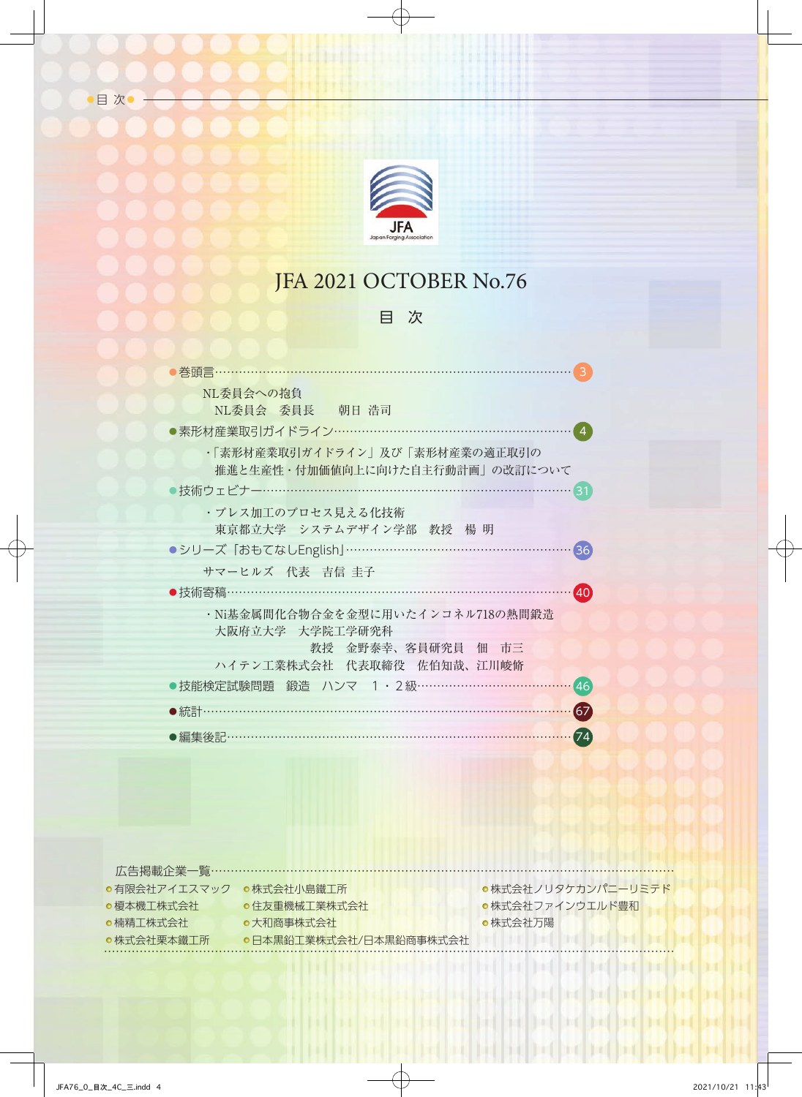

目次

# JFA 2021 OCTOBER No.76

## 目 次

| 巻頭言……                                                             |
|-------------------------------------------------------------------|
| NL委員会への抱負<br>NL委員会 委員長 朝日 浩司                                      |
| ●素形材産業取引ガイドライン……………………………………………                                   |
| ・「素形材産業取引ガイドライン」及び「素形材産業の適正取引の<br>推進と生産性・付加価値向上に向けた自主行動計画」の改訂について |
| )技術ウェビナー………………………………………………………<br>31                               |
| ・プレス加工のプロセス見える化技術                                                 |
| 東京都立大学 システムデザイン学部 教授 楊明                                           |
| ●シリーズ「おもてなしEnglish」………………………………………<br>36                          |
| サマーヒルズ 代表 吉信 圭子                                                   |
| ●技術寄稿…………………………………………………<br>40 <sup>°</sup>                       |
| ・Ni基金属間化合物合金を金型に用いたインコネル718の熱間鍛造                                  |
| 大阪府立大学 大学院工学研究科<br>教授 金野泰幸、客員研究員 佃 市三                             |
| ハイテン工業株式会社 代表取締役 佐伯知哉、江川峻脩                                        |
| ●技能検定試験問題 鍛造 ハンマ 1・2級 ………………………………<br>[46]                        |
| $\left( 67\right)$<br>●統計………                                      |
|                                                                   |
| 74<br>●編集後記…                                                      |

| 広告掲載企業―覧……………………… |                        |                    |
|-------------------|------------------------|--------------------|
| ●有限会社アイエスマック      | ●株式会社小鳥鐵工所             | ●株式会社ノリタケカンパニーリミテド |
| ●榎本機工株式会社         | ●住友重機械工業株式会社           | ●株式会社ファインウエルド豊和    |
| ●楠精丁株式会社          | ●大和商事株式会社              | ●株式会社万陽            |
| ●株式会社栗本鐵工所        | ●日本黒鉛工業株式会社/日本黒鉛商事株式会社 |                    |
|                   |                        |                    |